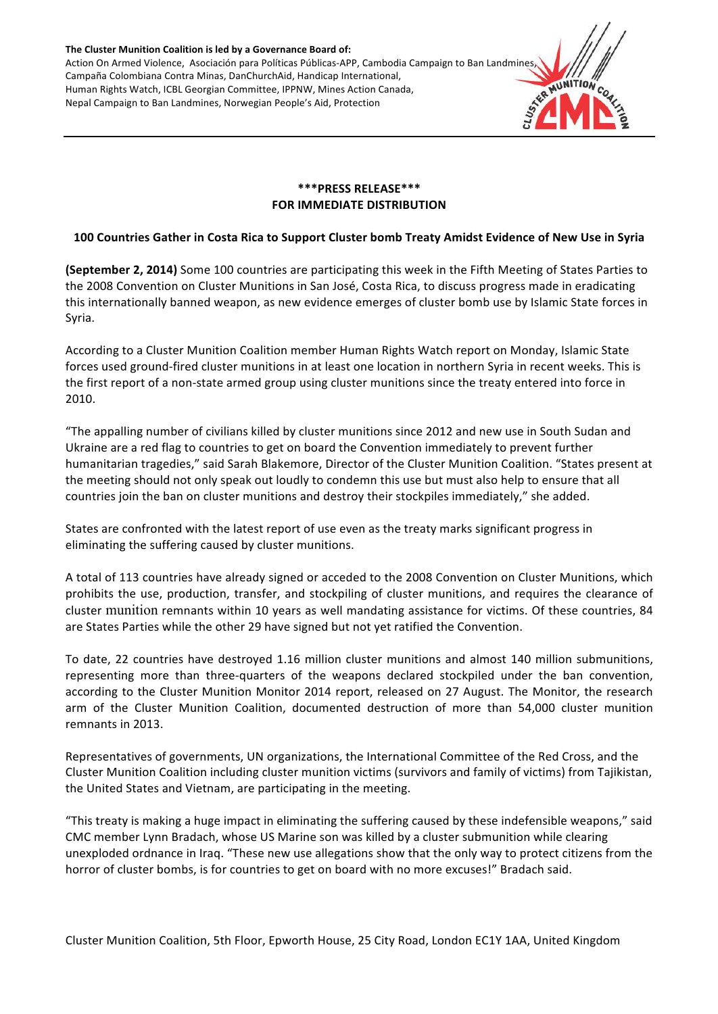The Cluster Munition Coalition is led by a Governance Board of: Action On Armed Violence, Asociación para Políticas Públicas-APP, Cambodia Campaign to Ban Landmines Campaña Colombiana Contra Minas, DanChurchAid, Handicap International, Human Rights Watch, ICBL Georgian Committee, IPPNW, Mines Action Canada, Nepal Campaign to Ban Landmines, Norwegian People's Aid, Protection



# **\*\*\*PRESS RELEASE\*\*\* FOR IMMEDIATE DISTRIBUTION**

# **100 Countries Gather in Costa Rica to Support Cluster bomb Treaty Amidst Evidence of New Use in Syria**

**(September 2, 2014)** Some 100 countries are participating this week in the Fifth Meeting of States Parties to the 2008 Convention on Cluster Munitions in San José, Costa Rica, to discuss progress made in eradicating this internationally banned weapon, as new evidence emerges of cluster bomb use by Islamic State forces in Syria. 

According to a Cluster Munition Coalition member Human Rights Watch report on Monday, Islamic State forces used ground-fired cluster munitions in at least one location in northern Syria in recent weeks. This is the first report of a non-state armed group using cluster munitions since the treaty entered into force in 2010. 

"The appalling number of civilians killed by cluster munitions since 2012 and new use in South Sudan and Ukraine are a red flag to countries to get on board the Convention immediately to prevent further humanitarian tragedies," said Sarah Blakemore, Director of the Cluster Munition Coalition. "States present at the meeting should not only speak out loudly to condemn this use but must also help to ensure that all countries join the ban on cluster munitions and destroy their stockpiles immediately," she added.

States are confronted with the latest report of use even as the treaty marks significant progress in eliminating the suffering caused by cluster munitions.

A total of 113 countries have already signed or acceded to the 2008 Convention on Cluster Munitions, which prohibits the use, production, transfer, and stockpiling of cluster munitions, and requires the clearance of cluster munition remnants within 10 years as well mandating assistance for victims. Of these countries, 84 are States Parties while the other 29 have signed but not yet ratified the Convention.

To date, 22 countries have destroyed 1.16 million cluster munitions and almost 140 million submunitions, representing more than three-quarters of the weapons declared stockpiled under the ban convention, according to the Cluster Munition Monitor 2014 report, released on 27 August. The Monitor, the research arm of the Cluster Munition Coalition, documented destruction of more than 54,000 cluster munition remnants in 2013. 

Representatives of governments, UN organizations, the International Committee of the Red Cross, and the Cluster Munition Coalition including cluster munition victims (survivors and family of victims) from Tajikistan, the United States and Vietnam, are participating in the meeting.

"This treaty is making a huge impact in eliminating the suffering caused by these indefensible weapons," said CMC member Lynn Bradach, whose US Marine son was killed by a cluster submunition while clearing unexploded ordnance in Iraq. "These new use allegations show that the only way to protect citizens from the horror of cluster bombs, is for countries to get on board with no more excuses!" Bradach said.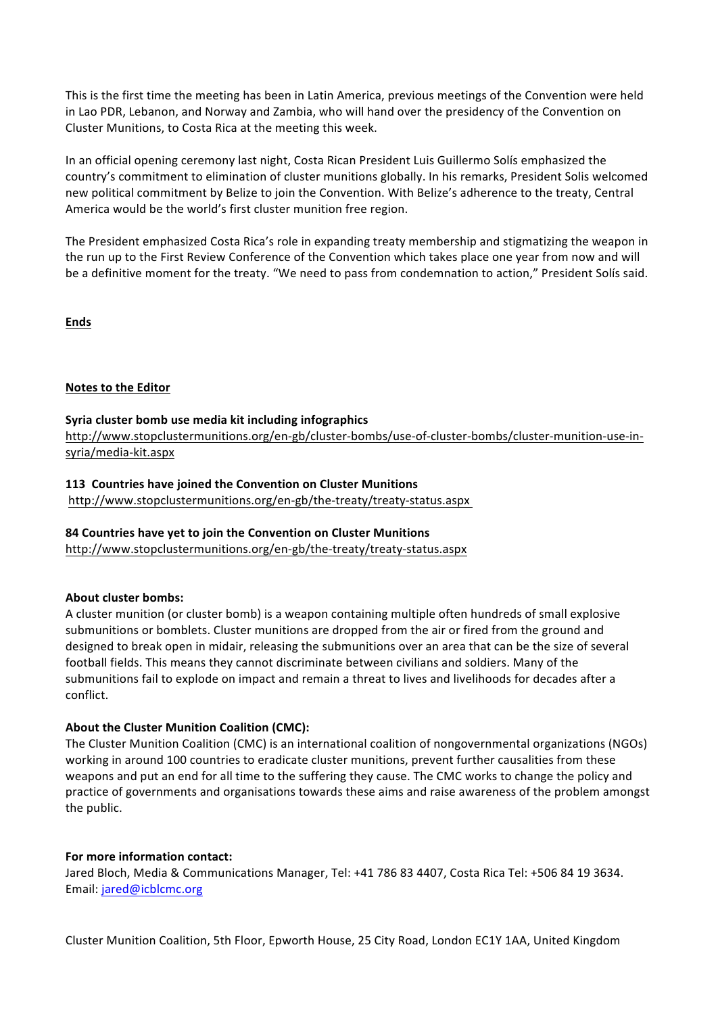This is the first time the meeting has been in Latin America, previous meetings of the Convention were held in Lao PDR, Lebanon, and Norway and Zambia, who will hand over the presidency of the Convention on Cluster Munitions, to Costa Rica at the meeting this week.

In an official opening ceremony last night, Costa Rican President Luis Guillermo Solís emphasized the country's commitment to elimination of cluster munitions globally. In his remarks, President Solis welcomed new political commitment by Belize to join the Convention. With Belize's adherence to the treaty, Central America would be the world's first cluster munition free region.

The President emphasized Costa Rica's role in expanding treaty membership and stigmatizing the weapon in the run up to the First Review Conference of the Convention which takes place one year from now and will be a definitive moment for the treaty. "We need to pass from condemnation to action," President Solís said.

**Ends**

### **Notes to the Editor**

### Syria cluster bomb use media kit including infographics

http://www.stopclustermunitions.org/en-gb/cluster-bombs/use-of-cluster-bombs/cluster-munition-use-insyria/media-kit.aspx

### **113 Countries have joined the Convention on Cluster Munitions**

http://www.stopclustermunitions.org/en-gb/the-treaty/treaty-status.aspx

### **84 Countries have yet to join the Convention on Cluster Munitions**

http://www.stopclustermunitions.org/en-gb/the-treaty/treaty-status.aspx

### **About cluster bombs:**

A cluster munition (or cluster bomb) is a weapon containing multiple often hundreds of small explosive submunitions or bomblets. Cluster munitions are dropped from the air or fired from the ground and designed to break open in midair, releasing the submunitions over an area that can be the size of several football fields. This means they cannot discriminate between civilians and soldiers. Many of the submunitions fail to explode on impact and remain a threat to lives and livelihoods for decades after a conflict.

### About the Cluster Munition Coalition (CMC):

The Cluster Munition Coalition (CMC) is an international coalition of nongovernmental organizations (NGOs) working in around 100 countries to eradicate cluster munitions, prevent further causalities from these weapons and put an end for all time to the suffering they cause. The CMC works to change the policy and practice of governments and organisations towards these aims and raise awareness of the problem amongst the public.

### For more information contact:

Jared Bloch, Media & Communications Manager, Tel: +41 786 83 4407, Costa Rica Tel: +506 84 19 3634. Email: jared@icblcmc.org

Cluster Munition Coalition, 5th Floor, Epworth House, 25 City Road, London EC1Y 1AA, United Kingdom